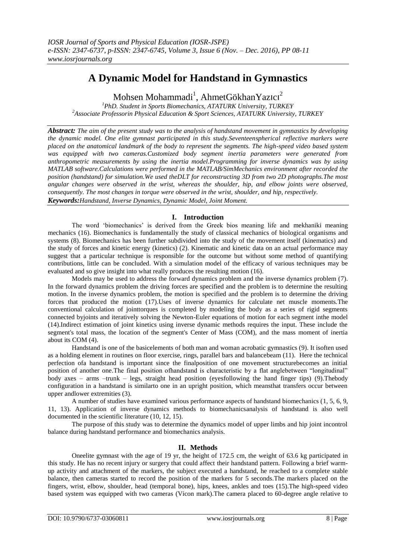# **A Dynamic Model for Handstand in Gymnastics**

Mohsen Mohammadi<sup>1</sup>, AhmetGökhanYazıcı<sup>2</sup>

*<sup>1</sup>PhD. Student in Sports Biomechanics, ATATURK University, TURKEY <sup>2</sup>Associate Professorin Physical Education & Sport Sciences, ATATURK University, TURKEY*

*Abstract: The aim of the present study was to the analysis of handstand movement in gymnastics by developing the dynamic model. One elite gymnast participated in this study.Seventeenspherical reflective markers were placed on the anatomical landmark of the body to represent the segments. The high-speed video based system was equipped with two cameras.Customized body segment inertia parameters were generated from anthropometric measurements by using the inertia model.Programming for inverse dynamics was by using MATLAB software.Calculations were performed in the MATLAB/SimMechanics environment after recorded the position (handstand) for simulation.We used theDLT for reconstructing 3D from two 2D photographs.The most angular changes were observed in the wrist, whereas the shoulder, hip, and elbow joints were observed, consequently. The most changes in torque were observed in the wrist, shoulder, and hip, respectively. Keywords:Handstand, Inverse Dynamics, Dynamic Model, Joint Moment.*

## **I. Introduction**

The word "biomechanics" is derived from the Greek bios meaning life and mekhaniki meaning mechanics (16). Biomechanics is fundamentally the study of classical mechanics of biological organisms and systems (8). Biomechanics has been further subdivided into the study of the movement itself (kinematics) and the study of forces and kinetic energy (kinetics) (2). Kinematic and kinetic data on an actual performance may suggest that a particular technique is responsible for the outcome but without some method of quantifying contributions, little can be concluded. With a simulation model of the efficacy of various techniques may be evaluated and so give insight into what really produces the resulting motion (16).

Models may be used to address the forward dynamics problem and the inverse dynamics problem (7). In the forward dynamics problem the driving forces are specified and the problem is to determine the resulting motion. In the inverse dynamics problem, the motion is specified and the problem is to determine the driving forces that produced the motion (17).Uses of inverse dynamics for calculate net muscle moments.The conventional calculation of jointtorques is completed by modeling the body as a series of rigid segments connected byjoints and iteratively solving the Newton-Euler equations of motion for each segment inthe model (14).Indirect estimation of joint kinetics using inverse dynamic methods requires the input. These include the segment's total mass, the location of the segment's Center of Mass (COM), and the mass moment of inertia about its COM (4).

Handstand is one of the basicelements of both man and woman acrobatic gymnastics (9). It isoften used as a holding element in routines on floor exercise, rings, parallel bars and balancebeam (11). Here the technical perfection ofa handstand is important since the finalposition of one movement structurebecomes an initial position of another one.The final position ofhandstand is characteristic by a flat anglebetween "longitudinal" body axes – arms –trunk – legs, straight head position (eyesfollowing the hand finger tips) (9).Thebody configuration in a handstand is similarto one in an upright position, which meansthat transfers occur between upper andlower extremities (3).

A number of studies have examined various performance aspects of handstand biomechanics (1, 5, 6, 9, 11, 13). Application of inverse dynamics methods to biomechanicsanalysis of handstand is also well documented in the scientific literature (10, 12, 15).

The purpose of this study was to determine the dynamics model of upper limbs and hip joint incontrol balance during handstand performance and biomechanics analysis.

## **II. Methods**

Oneelite gymnast with the age of 19 yr, the height of 172.5 cm, the weight of 63.6 kg participated in this study. He has no recent injury or surgery that could affect their handstand pattern. Following a brief warmup activity and attachment of the markers, the subject executed a handstand, he reached to a complete stable balance, then cameras started to record the position of the markers for 5 seconds.The markers placed on the fingers, wrist, elbow, shoulder, head (temporal bone), hips, knees, ankles and toes (15).The high-speed video based system was equipped with two cameras (Vicon mark).The camera placed to 60-degree angle relative to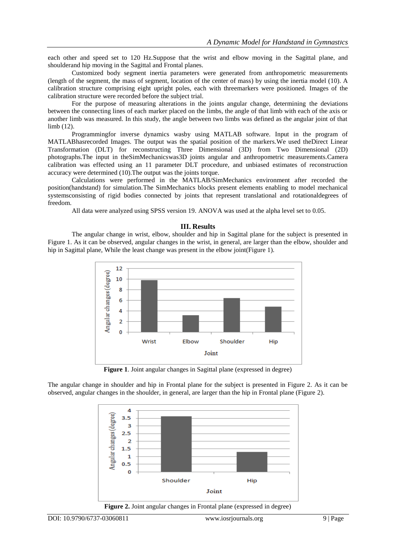each other and speed set to 120 Hz.Suppose that the wrist and elbow moving in the Sagittal plane, and shoulderand hip moving in the Sagittal and Frontal planes.

Customized body segment inertia parameters were generated from anthropometric measurements (length of the segment, the mass of segment, location of the center of mass) by using the inertia model (10). A calibration structure comprising eight upright poles, each with threemarkers were positioned. Images of the calibration structure were recorded before the subject trial.

For the purpose of measuring alterations in the joints angular change, determining the deviations between the connecting lines of each marker placed on the limbs, the angle of that limb with each of the axis or another limb was measured. In this study, the angle between two limbs was defined as the angular joint of that limb (12).

Programmingfor inverse dynamics wasby using MATLAB software. Input in the program of MATLABhasrecorded Images. The output was the spatial position of the markers.We used theDirect Linear Transformation (DLT) for reconstructing Three Dimensional (3D) from Two Dimensional (2D) photographs.The input in theSimMechanicswas3D joints angular and anthropometric measurements.Camera calibration was effected using an 11 parameter DLT procedure, and unbiased estimates of reconstruction accuracy were determined (10).The output was the joints torque.

Calculations were performed in the MATLAB/SimMechanics environment after recorded the position(handstand) for simulation.The SimMechanics blocks present elements enabling to model mechanical systemsconsisting of rigid bodies connected by joints that represent translational and rotationaldegrees of freedom.

All data were analyzed using SPSS version 19. ANOVA was used at the alpha level set to 0.05.

#### **III. Results**

The angular change in wrist, elbow, shoulder and hip in Sagittal plane for the subject is presented in Figure 1. As it can be observed, angular changes in the wrist, in general, are larger than the elbow, shoulder and hip in Sagittal plane, While the least change was present in the elbow joint(Figure 1).



**Figure 1**. Joint angular changes in Sagittal plane (expressed in degree)

The angular change in shoulder and hip in Frontal plane for the subject is presented in Figure 2. As it can be observed, angular changes in the shoulder, in general, are larger than the hip in Frontal plane (Figure 2).



**Figure 2.** Joint angular changes in Frontal plane (expressed in degree)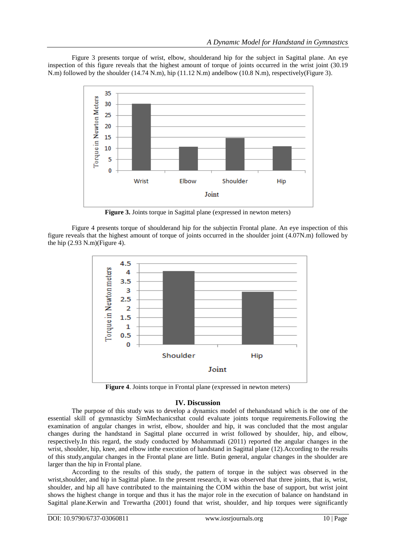Figure 3 presents torque of wrist, elbow, shoulderand hip for the subject in Sagittal plane. An eye inspection of this figure reveals that the highest amount of torque of joints occurred in the wrist joint (30.19 N.m) followed by the shoulder (14.74 N.m), hip (11.12 N.m) andelbow (10.8 N.m), respectively(Figure 3).



**Figure 3.** Joints torque in Sagittal plane (expressed in newton meters)

Figure 4 presents torque of shoulderand hip for the subjectin Frontal plane. An eye inspection of this figure reveals that the highest amount of torque of joints occurred in the shoulder joint (4.07N.m) followed by the hip  $(2.93 \text{ N.m})($ Figure 4).



**Figure 4**. Joints torque in Frontal plane (expressed in newton meters)

## **IV. Discussion**

The purpose of this study was to develop a dynamics model of thehandstand which is the one of the essential skill of gymnasticby SimMechanicsthat could evaluate joints torque requirements.Following the examination of angular changes in wrist, elbow, shoulder and hip, it was concluded that the most angular changes during the handstand in Sagittal plane occurred in wrist followed by shoulder, hip, and elbow, respectively.In this regard, the study conducted by Mohammadi (2011) reported the angular changes in the wrist, shoulder, hip, knee, and elbow inthe execution of handstand in Sagittal plane (12).According to the results of this study,angular changes in the Frontal plane are little. Butin general, angular changes in the shoulder are larger than the hip in Frontal plane.

According to the results of this study, the pattern of torque in the subject was observed in the wrist, shoulder, and hip in Sagittal plane. In the present research, it was observed that three joints, that is, wrist, shoulder, and hip all have contributed to the maintaining the COM within the base of support, but wrist joint shows the highest change in torque and thus it has the major role in the execution of balance on handstand in Sagittal plane.Kerwin and Trewartha (2001) found that wrist, shoulder, and hip torques were significantly